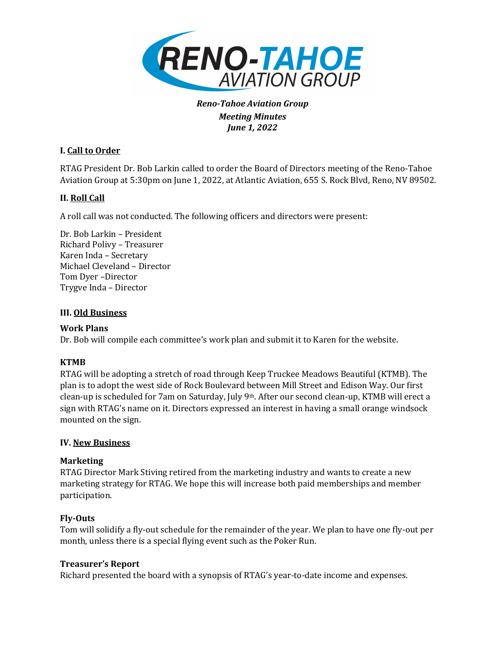

*Reno-Tahoe Aviation Group Meeting Minutes June* 1, 2022

# **I. Call to Order**

RTAG President Dr. Bob Larkin called to order the Board of Directors meeting of the Reno-Tahoe Aviation Group at 5:30pm on June 1, 2022, at Atlantic Aviation, 655 S. Rock Blvd, Reno, NV 89502.

# **II.** Roll Call

A roll call was not conducted. The following officers and directors were present:

Dr. Bob Larkin – President Richard Polivy – Treasurer Karen Inda - Secretary Michael Cleveland - Director Tom Dyer -Director Trygve Inda – Director

### **III. Old Business**

### **Work Plans**

Dr. Bob will compile each committee's work plan and submit it to Karen for the website.

# **KTMB**

RTAG will be adopting a stretch of road through Keep Truckee Meadows Beautiful (KTMB). The plan is to adopt the west side of Rock Boulevard between Mill Street and Edison Way. Our first clean-up is scheduled for 7am on Saturday, July  $9<sup>th</sup>$ . After our second clean-up, KTMB will erect a sign with RTAG's name on it. Directors expressed an interest in having a small orange windsock mounted on the sign.

### **IV. New Business**

# **Marketing**

RTAG Director Mark Stiving retired from the marketing industry and wants to create a new marketing strategy for RTAG. We hope this will increase both paid memberships and member participation. 

# **Fly-Outs**

Tom will solidify a fly-out schedule for the remainder of the year. We plan to have one fly-out per month, unless there is a special flying event such as the Poker Run.

### **Treasurer's Report**

Richard presented the board with a synopsis of RTAG's year-to-date income and expenses.